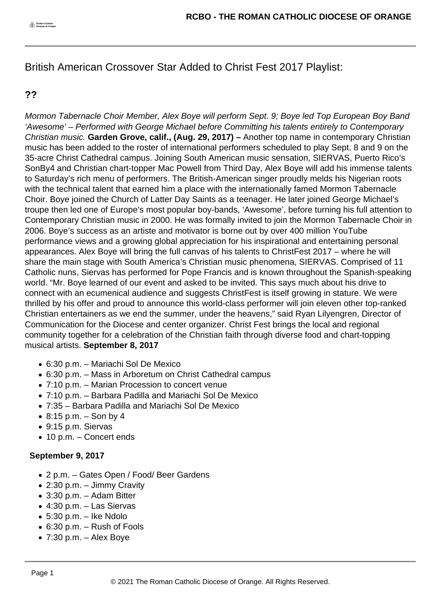British American Crossover Star Added to Christ Fest 2017 Playlist:

## **??**

Mormon Tabernacle Choir Member, Alex Boye will perform Sept. 9; Boye led Top European Boy Band 'Awesome' – Performed with George Michael before Committing his talents entirely to Contemporary Christian music. **Garden Grove, calif., (Aug. 29, 2017) –** Another top name in contemporary Christian music has been added to the roster of international performers scheduled to play Sept. 8 and 9 on the 35-acre Christ Cathedral campus. Joining South American music sensation, SIERVAS, Puerto Rico's SonBy4 and Christian chart-topper Mac Powell from Third Day, Alex Boye will add his immense talents to Saturday's rich menu of performers. The British-American singer proudly melds his Nigerian roots with the technical talent that earned him a place with the internationally famed Mormon Tabernacle Choir. Boye joined the Church of Latter Day Saints as a teenager. He later joined George Michael's troupe then led one of Europe's most popular boy-bands, 'Awesome', before turning his full attention to Contemporary Christian music in 2000. He was formally invited to join the Mormon Tabernacle Choir in 2006. Boye's success as an artiste and motivator is borne out by over 400 million YouTube performance views and a growing global appreciation for his inspirational and entertaining personal appearances. Alex Boye will bring the full canvas of his talents to ChristFest 2017 – where he will share the main stage with South America's Christian music phenomena, SIERVAS. Comprised of 11 Catholic nuns, Siervas has performed for Pope Francis and is known throughout the Spanish-speaking world. "Mr. Boye learned of our event and asked to be invited. This says much about his drive to connect with an ecumenical audience and suggests ChristFest is itself growing in stature. We were thrilled by his offer and proud to announce this world-class performer will join eleven other top-ranked Christian entertainers as we end the summer, under the heavens," said Ryan Lilyengren, Director of Communication for the Diocese and center organizer. Christ Fest brings the local and regional community together for a celebration of the Christian faith through diverse food and chart-topping musical artists. **September 8, 2017**

- 6:30 p.m. Mariachi Sol De Mexico
- 6:30 p.m. Mass in Arboretum on Christ Cathedral campus
- 7:10 p.m. Marian Procession to concert venue
- 7:10 p.m. Barbara Padilla and Mariachi Sol De Mexico
- 7:35 Barbara Padilla and Mariachi Sol De Mexico
- $\bullet$  8:15 p.m. Son by 4
- 9:15 p.m. Siervas
- 10 p.m. Concert ends

## **September 9, 2017**

- 2 p.m. Gates Open / Food/ Beer Gardens
- 2:30 p.m. Jimmy Cravity
- 3:30 p.m. Adam Bitter
- 4:30 p.m. Las Siervas
- $\bullet$  5:30 p.m. Ike Ndolo
- 6:30 p.m. Rush of Fools
- $\bullet$  7:30 p.m. Alex Boye